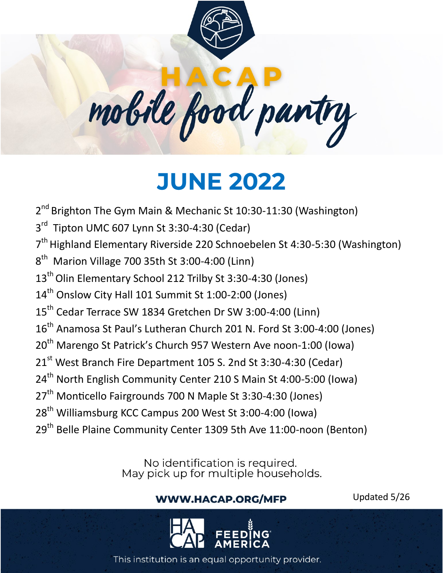



**JUNE 2022** 

2<sup>nd</sup> Brighton The Gym Main & Mechanic St 10:30-11:30 (Washington)

3<sup>rd</sup> Tipton UMC 607 Lynn St 3:30-4:30 (Cedar)

7<sup>th</sup> Highland Elementary Riverside 220 Schnoebelen St 4:30-5:30 (Washington)

 $8<sup>th</sup>$  Marion Village 700 35th St 3:00-4:00 (Linn)

13<sup>th</sup> Olin Elementary School 212 Trilby St 3:30-4:30 (Jones)

14<sup>th</sup> Onslow City Hall 101 Summit St 1:00-2:00 (Jones)

15<sup>th</sup> Cedar Terrace SW 1834 Gretchen Dr SW 3:00-4:00 (Linn)

16<sup>th</sup> Anamosa St Paul's Lutheran Church 201 N. Ford St 3:00-4:00 (Jones)

20<sup>th</sup> Marengo St Patrick's Church 957 Western Ave noon-1:00 (Iowa)

21<sup>st</sup> West Branch Fire Department 105 S. 2nd St 3:30-4:30 (Cedar)

24<sup>th</sup> North English Community Center 210 S Main St 4:00-5:00 (Iowa)

27<sup>th</sup> Monticello Fairgrounds 700 N Maple St 3:30-4:30 (Jones)

28<sup>th</sup> Williamsburg KCC Campus 200 West St 3:00-4:00 (Iowa)

29<sup>th</sup> Belle Plaine Community Center 1309 5th Ave 11:00-noon (Benton)

No identification is required.<br>May pick up for multiple households.

## **WWW.HACAP.ORG/MFP**

Updated 5/26

This institution is an equal opportunity provider.